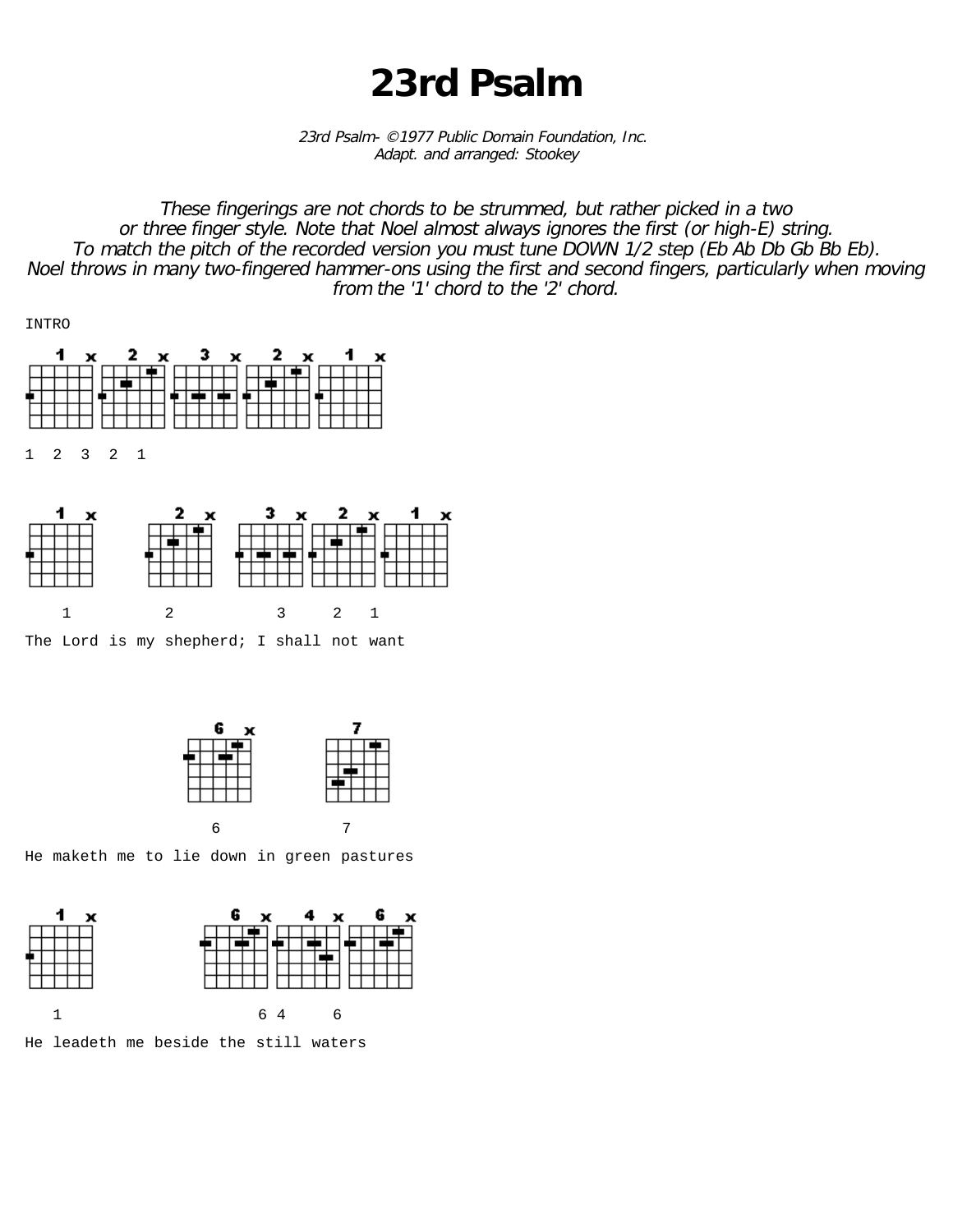## **23rd Psalm**

23rd Psalm- ©1977 Public Domain Foundation, Inc. Adapt. and arranged: Stookey

These fingerings are not chords to be strummed, but rather picked in a two or three finger style. Note that Noel almost always ignores the first (or high-E) string. To match the pitch of the recorded version you must tune DOWN 1/2 step (Eb Ab Db Gb Bb Eb). Noel throws in many two-fingered hammer-ons using the first and second fingers, particularly when moving from the '1' chord to the '2' chord.





The Lord is my shepherd; I shall not want



He maketh me to lie down in green pastures



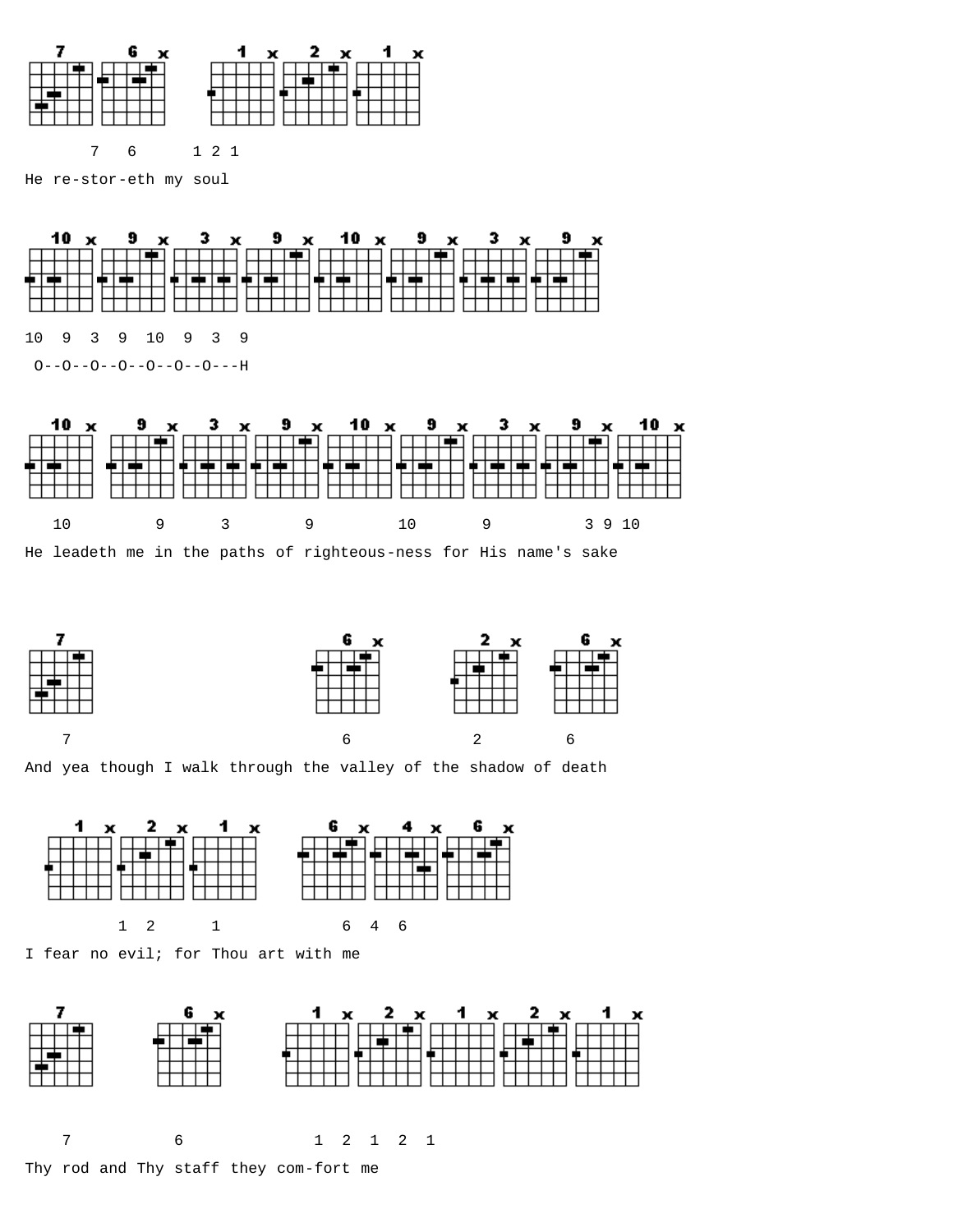

7 6 1 2 1

He re-stor-eth my soul



O--O--O--O--O--O--O---H





And yea though I walk through the valley of the shadow of death



I fear no evil; for Thou art with me

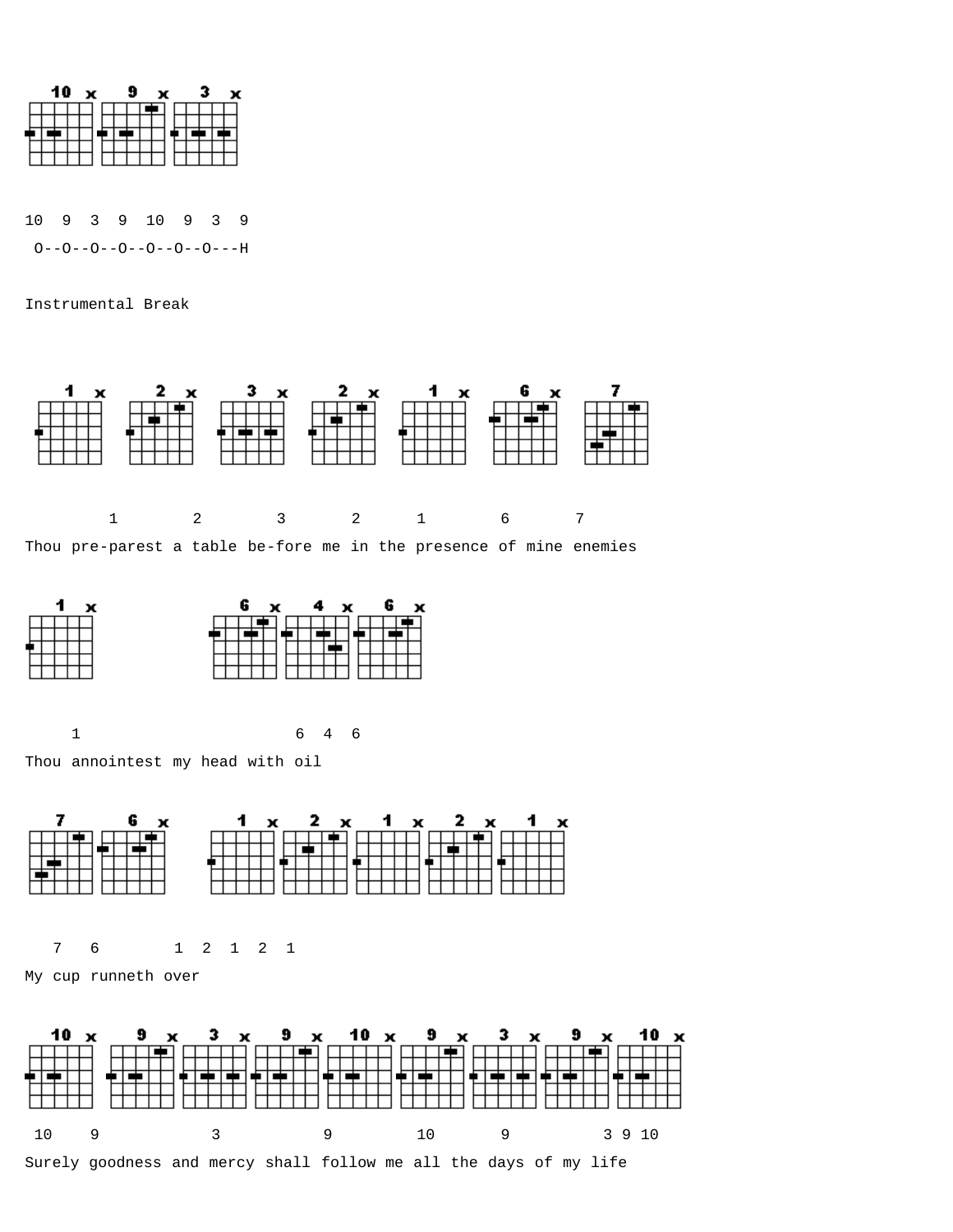

10 9 3 9 10 9 3 9  $O - -O - -O - -O - -O - -O - - -H$ 

Instrumental Break





1 6 4 6

Thou annointest my head with oil



7 6 1 2 1 2 1